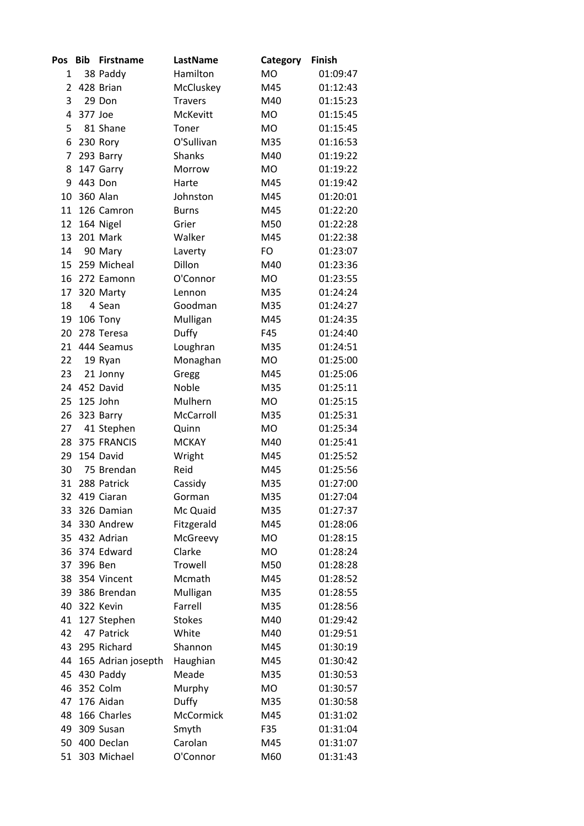| Pos | <b>Bib</b> | <b>Firstname</b>   | LastName       | Category  | <b>Finish</b> |
|-----|------------|--------------------|----------------|-----------|---------------|
| 1   |            | 38 Paddy           | Hamilton       | <b>MO</b> | 01:09:47      |
| 2   |            | 428 Brian          | McCluskey      | M45       | 01:12:43      |
| 3   |            | 29 Don             | <b>Travers</b> | M40       | 01:15:23      |
| 4   | 377 Joe    |                    | McKevitt       | <b>MO</b> | 01:15:45      |
| 5   |            | 81 Shane           | Toner          | <b>MO</b> | 01:15:45      |
| 6   |            | 230 Rory           | O'Sullivan     | M35       | 01:16:53      |
| 7   |            | 293 Barry          | <b>Shanks</b>  | M40       | 01:19:22      |
| 8   |            | 147 Garry          | Morrow         | <b>MO</b> | 01:19:22      |
| 9   |            | 443 Don            | Harte          | M45       | 01:19:42      |
| 10  |            | <b>360 Alan</b>    | Johnston       | M45       | 01:20:01      |
| 11  |            | 126 Camron         | <b>Burns</b>   | M45       | 01:22:20      |
| 12  |            | 164 Nigel          | Grier          | M50       | 01:22:28      |
| 13  |            | 201 Mark           | Walker         | M45       | 01:22:38      |
| 14  |            | 90 Mary            | Laverty        | FO        | 01:23:07      |
| 15  |            | 259 Micheal        | Dillon         | M40       | 01:23:36      |
| 16  |            | 272 Eamonn         | O'Connor       | <b>MO</b> | 01:23:55      |
| 17  |            | 320 Marty          | Lennon         | M35       | 01:24:24      |
| 18  |            | 4 Sean             | Goodman        | M35       | 01:24:27      |
| 19  |            | 106 Tony           | Mulligan       | M45       | 01:24:35      |
| 20  |            | 278 Teresa         | Duffy          | F45       | 01:24:40      |
| 21  |            | 444 Seamus         | Loughran       | M35       | 01:24:51      |
| 22  |            | 19 Ryan            | Monaghan       | <b>MO</b> | 01:25:00      |
| 23  |            | 21 Jonny           | Gregg          | M45       | 01:25:06      |
| 24  |            | 452 David          | Noble          | M35       | 01:25:11      |
| 25  |            | 125 John           | Mulhern        | <b>MO</b> | 01:25:15      |
| 26  |            | 323 Barry          | McCarroll      | M35       | 01:25:31      |
| 27  |            | 41 Stephen         | Quinn          | <b>MO</b> | 01:25:34      |
| 28  |            | 375 FRANCIS        | <b>MCKAY</b>   | M40       | 01:25:41      |
| 29  |            | 154 David          | Wright         | M45       | 01:25:52      |
| 30  |            | 75 Brendan         | Reid           | M45       | 01:25:56      |
| 31  |            | 288 Patrick        | Cassidy        | M35       | 01:27:00      |
| 32  |            | 419 Ciaran         | Gorman         | M35       | 01:27:04      |
| 33  |            | 326 Damian         | Mc Quaid       | M35       | 01:27:37      |
| 34  |            | 330 Andrew         | Fitzgerald     | M45       | 01:28:06      |
| 35  |            | 432 Adrian         | McGreevy       | MO        | 01:28:15      |
| 36  |            | 374 Edward         | Clarke         | <b>MO</b> | 01:28:24      |
| 37  |            | 396 Ben            | Trowell        | M50       | 01:28:28      |
| 38  |            | 354 Vincent        | Mcmath         | M45       | 01:28:52      |
| 39  |            | 386 Brendan        | Mulligan       | M35       | 01:28:55      |
| 40  |            | 322 Kevin          | Farrell        | M35       | 01:28:56      |
| 41  |            | 127 Stephen        | <b>Stokes</b>  | M40       | 01:29:42      |
| 42  |            | 47 Patrick         | White          | M40       | 01:29:51      |
| 43  |            | 295 Richard        | Shannon        | M45       | 01:30:19      |
| 44  |            | 165 Adrian josepth | Haughian       | M45       | 01:30:42      |
| 45  |            | 430 Paddy          | Meade          | M35       | 01:30:53      |
| 46  |            | 352 Colm           | Murphy         | MO        | 01:30:57      |
| 47  |            | 176 Aidan          | Duffy          | M35       | 01:30:58      |
| 48  |            | 166 Charles        | McCormick      | M45       | 01:31:02      |
| 49  |            | 309 Susan          | Smyth          | F35       | 01:31:04      |
| 50  |            | 400 Declan         | Carolan        | M45       | 01:31:07      |
| 51  |            | 303 Michael        | O'Connor       | M60       | 01:31:43      |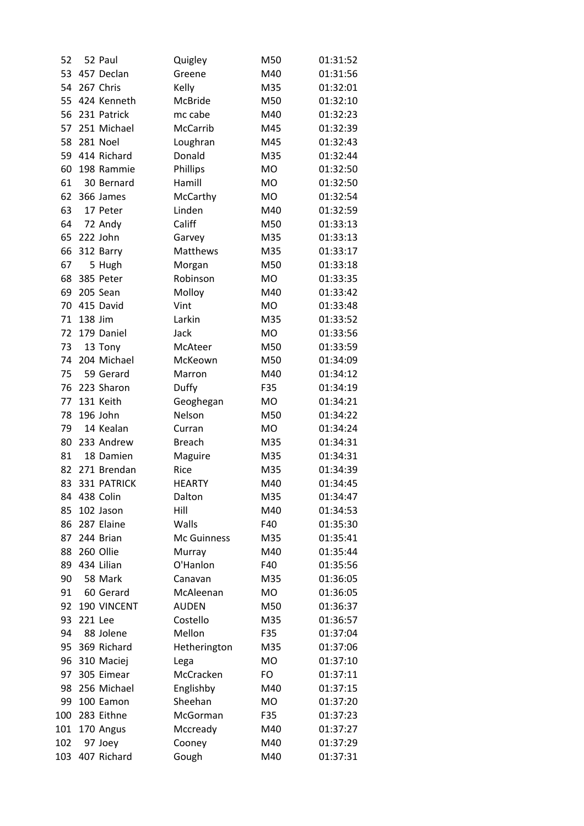| 52  |         | 52 Paul     | Quigley         | M50       | 01:31:52 |
|-----|---------|-------------|-----------------|-----------|----------|
| 53  |         | 457 Declan  | Greene          | M40       | 01:31:56 |
| 54  |         | 267 Chris   | Kelly           | M35       | 01:32:01 |
| 55  |         | 424 Kenneth | McBride         | M50       | 01:32:10 |
| 56  |         | 231 Patrick | mc cabe         | M40       | 01:32:23 |
| 57  |         | 251 Michael | McCarrib        | M45       | 01:32:39 |
| 58  |         | 281 Noel    | Loughran        | M45       | 01:32:43 |
| 59  |         | 414 Richard | Donald          | M35       | 01:32:44 |
| 60  |         | 198 Rammie  | Phillips        | <b>MO</b> | 01:32:50 |
| 61  |         | 30 Bernard  | Hamill          | <b>MO</b> | 01:32:50 |
| 62  |         | 366 James   | McCarthy        | <b>MO</b> | 01:32:54 |
| 63  |         | 17 Peter    | Linden          | M40       | 01:32:59 |
| 64  |         | 72 Andy     | Califf          | M50       | 01:33:13 |
| 65  |         | 222 John    | Garvey          | M35       | 01:33:13 |
| 66  |         | 312 Barry   | <b>Matthews</b> | M35       | 01:33:17 |
| 67  |         | 5 Hugh      | Morgan          | M50       | 01:33:18 |
| 68  |         | 385 Peter   | Robinson        | <b>MO</b> | 01:33:35 |
| 69  |         | 205 Sean    | Molloy          | M40       | 01:33:42 |
| 70  |         | 415 David   | Vint            | <b>MO</b> | 01:33:48 |
| 71  | 138 Jim |             | Larkin          | M35       | 01:33:52 |
| 72  |         | 179 Daniel  | Jack            | <b>MO</b> | 01:33:56 |
| 73  |         | 13 Tony     | McAteer         | M50       | 01:33:59 |
| 74  |         | 204 Michael | McKeown         | M50       | 01:34:09 |
| 75  |         | 59 Gerard   | Marron          | M40       | 01:34:12 |
| 76  |         | 223 Sharon  | Duffy           | F35       | 01:34:19 |
| 77  |         | 131 Keith   | Geoghegan       | MO        | 01:34:21 |
| 78  |         | 196 John    | Nelson          | M50       | 01:34:22 |
| 79  |         | 14 Kealan   | Curran          | <b>MO</b> | 01:34:24 |
| 80  |         | 233 Andrew  | <b>Breach</b>   | M35       | 01:34:31 |
| 81  |         | 18 Damien   | Maguire         | M35       | 01:34:31 |
| 82  |         | 271 Brendan | Rice            | M35       | 01:34:39 |
| 83  |         | 331 PATRICK | <b>HEARTY</b>   | M40       | 01:34:45 |
| 84  |         | 438 Colin   | Dalton          | M35       | 01:34:47 |
| 85  |         | 102 Jason   | Hill            | M40       | 01:34:53 |
| 86  |         | 287 Elaine  | Walls           | F40       | 01:35:30 |
| 87  |         | 244 Brian   | Mc Guinness     | M35       | 01:35:41 |
| 88  |         | 260 Ollie   | Murray          | M40       | 01:35:44 |
| 89  |         | 434 Lilian  | O'Hanlon        | F40       | 01:35:56 |
| 90  |         | 58 Mark     | Canavan         | M35       | 01:36:05 |
| 91  |         | 60 Gerard   | McAleenan       | MO        | 01:36:05 |
| 92  |         | 190 VINCENT | <b>AUDEN</b>    | M50       | 01:36:37 |
| 93  | 221 Lee |             | Costello        | M35       | 01:36:57 |
| 94  |         | 88 Jolene   | Mellon          | F35       | 01:37:04 |
| 95  |         | 369 Richard | Hetherington    | M35       | 01:37:06 |
| 96  |         | 310 Maciej  | Lega            | <b>MO</b> | 01:37:10 |
| 97  |         | 305 Eimear  | McCracken       | FO        | 01:37:11 |
| 98  |         | 256 Michael | Englishby       | M40       | 01:37:15 |
| 99  |         | 100 Eamon   | Sheehan         | MO        | 01:37:20 |
| 100 |         | 283 Eithne  | McGorman        | F35       | 01:37:23 |
| 101 |         | 170 Angus   | Mccready        | M40       | 01:37:27 |
| 102 |         | 97 Joey     | Cooney          | M40       | 01:37:29 |
| 103 |         | 407 Richard | Gough           | M40       | 01:37:31 |
|     |         |             |                 |           |          |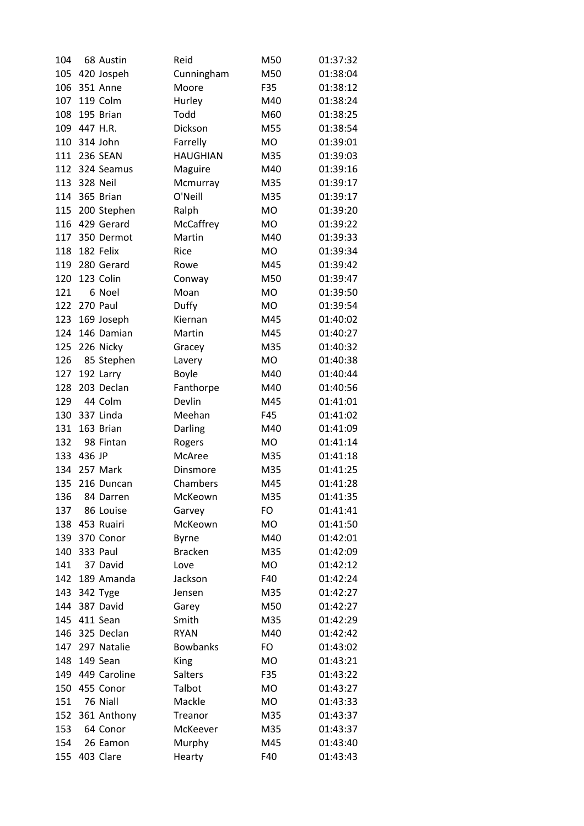| 104        |              | 68 Austin      | Reid             | M50       | 01:37:32             |
|------------|--------------|----------------|------------------|-----------|----------------------|
| 105        |              | 420 Jospeh     | Cunningham       | M50       | 01:38:04             |
| 106        |              | 351 Anne       | Moore            | F35       | 01:38:12             |
| 107        |              | 119 Colm       | Hurley           | M40       | 01:38:24             |
| 108        |              | 195 Brian      | Todd             | M60       | 01:38:25             |
| 109        | 447 H.R.     |                | Dickson          | M55       | 01:38:54             |
| 110        |              | 314 John       | Farrelly         | <b>MO</b> | 01:39:01             |
| 111        |              | 236 SEAN       | <b>HAUGHIAN</b>  | M35       | 01:39:03             |
|            |              | 112 324 Seamus | Maguire          | M40       | 01:39:16             |
|            | 113 328 Neil |                | Mcmurray         | M35       | 01:39:17             |
| 114        |              | 365 Brian      | O'Neill          | M35       | 01:39:17             |
| 115        |              | 200 Stephen    | Ralph            | <b>MO</b> | 01:39:20             |
| 116        |              | 429 Gerard     | McCaffrey        | <b>MO</b> | 01:39:22             |
| 117        |              | 350 Dermot     | Martin           | M40       | 01:39:33             |
| 118        |              | 182 Felix      | Rice             | <b>MO</b> | 01:39:34             |
| 119        |              | 280 Gerard     | Rowe             | M45       | 01:39:42             |
| 120        |              | 123 Colin      | Conway           | M50       | 01:39:47             |
| 121        |              | 6 Noel         | Moan             | <b>MO</b> | 01:39:50             |
| 122        |              | 270 Paul       | Duffy            | <b>MO</b> | 01:39:54             |
| 123        |              | 169 Joseph     | Kiernan          | M45       | 01:40:02             |
| 124        |              | 146 Damian     | Martin           | M45       | 01:40:27             |
| 125        |              | 226 Nicky      | Gracey           | M35       | 01:40:32             |
| 126        |              | 85 Stephen     | Lavery           | <b>MO</b> | 01:40:38             |
| 127        |              | 192 Larry      | <b>Boyle</b>     | M40       | 01:40:44             |
| 128        |              | 203 Declan     | Fanthorpe        | M40       | 01:40:56             |
| 129        |              | 44 Colm        | Devlin           | M45       | 01:41:01             |
| 130        |              | 337 Linda      | Meehan           | F45       | 01:41:02             |
| 131        |              | 163 Brian      | Darling          | M40       | 01:41:09             |
| 132        |              | 98 Fintan      |                  | <b>MO</b> | 01:41:14             |
| 133        | 436 JP       |                | Rogers<br>McAree | M35       | 01:41:18             |
| 134        |              | 257 Mark       | Dinsmore         | M35       | 01:41:25             |
| 135        |              | 216 Duncan     | Chambers         | M45       | 01:41:28             |
|            |              |                | McKeown          |           |                      |
| 136<br>137 |              | 84 Darren      |                  | M35<br>FO | 01:41:35<br>01:41:41 |
|            |              | 86 Louise      | Garvey           |           |                      |
| 138        |              | 453 Ruairi     | McKeown          | MO<br>M40 | 01:41:50             |
| 139        |              | 370 Conor      | <b>Byrne</b>     |           | 01:42:01             |
| 140        |              | 333 Paul       | <b>Bracken</b>   | M35       | 01:42:09             |
| 141        |              | 37 David       | Love             | <b>MO</b> | 01:42:12             |
| 142        |              | 189 Amanda     | Jackson          | F40       | 01:42:24             |
| 143        |              | 342 Tyge       | Jensen           | M35       | 01:42:27             |
| 144        |              | 387 David      | Garey            | M50       | 01:42:27             |
| 145        |              | 411 Sean       | Smith            | M35       | 01:42:29             |
| 146        |              | 325 Declan     | <b>RYAN</b>      | M40       | 01:42:42             |
| 147        |              | 297 Natalie    | <b>Bowbanks</b>  | FO        | 01:43:02             |
| 148        |              | 149 Sean       | King             | <b>MO</b> | 01:43:21             |
| 149        |              | 449 Caroline   | Salters          | F35       | 01:43:22             |
| 150        |              | 455 Conor      | Talbot           | MO        | 01:43:27             |
| 151        |              | 76 Niall       | Mackle           | <b>MO</b> | 01:43:33             |
| 152        |              | 361 Anthony    | Treanor          | M35       | 01:43:37             |
| 153        |              | 64 Conor       | McKeever         | M35       | 01:43:37             |
| 154        |              | 26 Eamon       | Murphy           | M45       | 01:43:40             |
| 155        |              | 403 Clare      | Hearty           | F40       | 01:43:43             |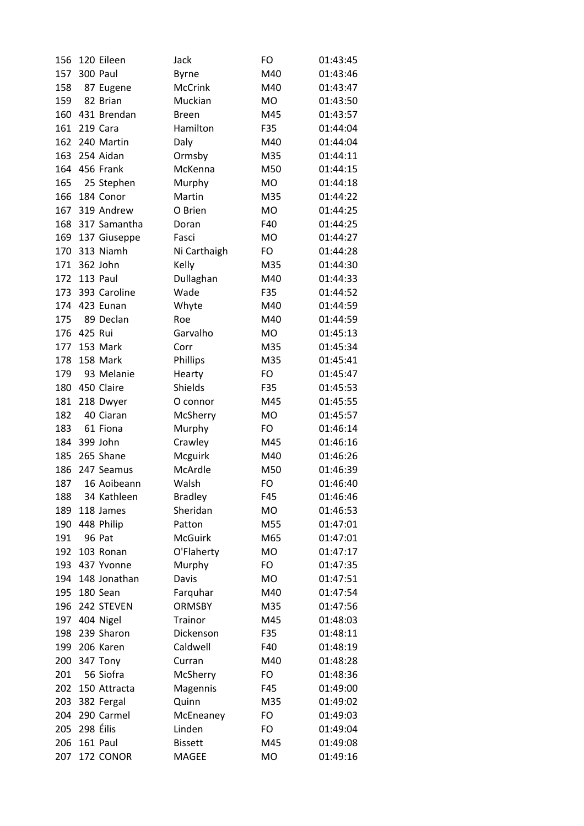| 156 |           | 120 Eileen    | Jack               | FO        | 01:43:45 |
|-----|-----------|---------------|--------------------|-----------|----------|
| 157 |           | 300 Paul      | <b>Byrne</b>       | M40       | 01:43:46 |
| 158 |           | 87 Eugene     | <b>McCrink</b>     | M40       | 01:43:47 |
| 159 |           | 82 Brian      | Muckian            | MO        | 01:43:50 |
| 160 |           | 431 Brendan   | <b>Breen</b>       | M45       | 01:43:57 |
| 161 |           | 219 Cara      | Hamilton           | F35       | 01:44:04 |
| 162 |           | 240 Martin    | Daly               | M40       | 01:44:04 |
| 163 |           | 254 Aidan     | Ormsby             | M35       | 01:44:11 |
|     |           | 164 456 Frank | McKenna            | M50       | 01:44:15 |
| 165 |           | 25 Stephen    | Murphy             | <b>MO</b> | 01:44:18 |
| 166 |           | 184 Conor     | Martin             | M35       | 01:44:22 |
| 167 |           | 319 Andrew    | O Brien            | <b>MO</b> | 01:44:25 |
| 168 |           | 317 Samantha  | Doran              | F40       | 01:44:25 |
| 169 |           | 137 Giuseppe  | Fasci              | <b>MO</b> | 01:44:27 |
| 170 |           | 313 Niamh     | Ni Carthaigh       | FO        | 01:44:28 |
| 171 |           | 362 John      | Kelly              | M35       | 01:44:30 |
| 172 |           | 113 Paul      | Dullaghan          | M40       | 01:44:33 |
| 173 |           | 393 Caroline  | Wade               | F35       | 01:44:52 |
| 174 |           | 423 Eunan     | Whyte              | M40       | 01:44:59 |
| 175 |           | 89 Declan     | Roe                | M40       | 01:44:59 |
| 176 | 425 Rui   |               | Garvalho           | <b>MO</b> | 01:45:13 |
| 177 |           | 153 Mark      | Corr               | M35       | 01:45:34 |
| 178 |           | 158 Mark      | Phillips           | M35       | 01:45:41 |
| 179 |           | 93 Melanie    | Hearty             | FO        | 01:45:47 |
| 180 |           | 450 Claire    | Shields            | F35       | 01:45:53 |
| 181 |           | 218 Dwyer     | O connor           | M45       | 01:45:55 |
| 182 |           | 40 Ciaran     | McSherry           | <b>MO</b> | 01:45:57 |
| 183 |           | 61 Fiona      | Murphy             | FO        | 01:46:14 |
| 184 |           | 399 John      |                    | M45       | 01:46:16 |
| 185 |           | 265 Shane     | Crawley            | M40       | 01:46:26 |
| 186 |           | 247 Seamus    | Mcguirk<br>McArdle | M50       | 01:46:39 |
|     |           | 16 Aoibeann   |                    |           |          |
| 187 |           |               | Walsh              | FO        | 01:46:40 |
| 188 |           | 34 Kathleen   | <b>Bradley</b>     | F45       | 01:46:46 |
| 189 |           | 118 James     | Sheridan           | <b>MO</b> | 01:46:53 |
| 190 |           | 448 Philip    | Patton             | M55       | 01:47:01 |
| 191 |           | <b>96 Pat</b> | <b>McGuirk</b>     | M65       | 01:47:01 |
| 192 |           | 103 Ronan     | O'Flaherty         | <b>MO</b> | 01:47:17 |
| 193 |           | 437 Yvonne    | Murphy             | FO        | 01:47:35 |
| 194 |           | 148 Jonathan  | Davis              | MO        | 01:47:51 |
| 195 |           | 180 Sean      | Farquhar           | M40       | 01:47:54 |
| 196 |           | 242 STEVEN    | <b>ORMSBY</b>      | M35       | 01:47:56 |
| 197 |           | 404 Nigel     | <b>Trainor</b>     | M45       | 01:48:03 |
| 198 |           | 239 Sharon    | Dickenson          | F35       | 01:48:11 |
| 199 |           | 206 Karen     | Caldwell           | F40       | 01:48:19 |
| 200 |           | 347 Tony      | Curran             | M40       | 01:48:28 |
| 201 |           | 56 Siofra     | McSherry           | FO        | 01:48:36 |
| 202 |           | 150 Attracta  | Magennis           | F45       | 01:49:00 |
| 203 |           | 382 Fergal    | Quinn              | M35       | 01:49:02 |
| 204 |           | 290 Carmel    | McEneaney          | FO        | 01:49:03 |
| 205 | 298 Éilis |               | Linden             | FO        | 01:49:04 |
| 206 |           | 161 Paul      | <b>Bissett</b>     | M45       | 01:49:08 |
| 207 |           | 172 CONOR     | <b>MAGEE</b>       | MO        | 01:49:16 |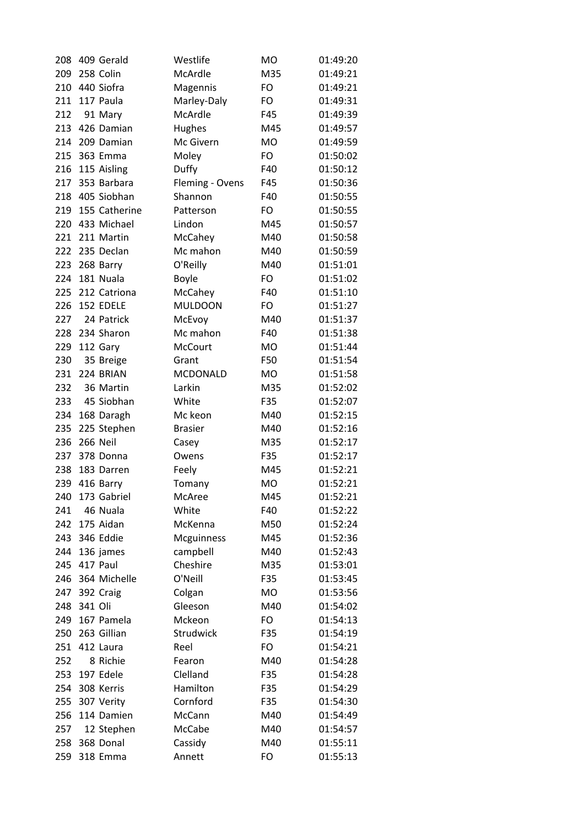| 208 | 409 Gerald      | Westlife             | <b>MO</b>        | 01:49:20 |
|-----|-----------------|----------------------|------------------|----------|
| 209 | 258 Colin       | McArdle              | M35              | 01:49:21 |
| 210 | 440 Siofra      | Magennis             | <b>FO</b>        | 01:49:21 |
| 211 | 117 Paula       | Marley-Daly          | <b>FO</b>        | 01:49:31 |
| 212 | 91 Mary         | McArdle              | F45              | 01:49:39 |
| 213 | 426 Damian      | Hughes               | M45              | 01:49:57 |
| 214 | 209 Damian      | Mc Givern            | <b>MO</b>        | 01:49:59 |
| 215 | 363 Emma        | Moley                | FO               | 01:50:02 |
| 216 | 115 Aisling     | Duffy                | F40              | 01:50:12 |
| 217 | 353 Barbara     | Fleming - Ovens      | F45              | 01:50:36 |
| 218 | 405 Siobhan     | Shannon              | F40              | 01:50:55 |
| 219 | 155 Catherine   | Patterson            | FO               | 01:50:55 |
| 220 | 433 Michael     | Lindon               | M45              | 01:50:57 |
| 221 | 211 Martin      | McCahey              | M40              | 01:50:58 |
| 222 | 235 Declan      | Mc mahon             | M40              | 01:50:59 |
| 223 | 268 Barry       | O'Reilly             | M40              | 01:51:01 |
| 224 | 181 Nuala       | <b>Boyle</b>         | <b>FO</b>        | 01:51:02 |
| 225 | 212 Catriona    | McCahey              | F40              | 01:51:10 |
| 226 | 152 EDELE       | <b>MULDOON</b>       | FO               | 01:51:27 |
| 227 | 24 Patrick      | McEvoy               | M40              | 01:51:37 |
| 228 | 234 Sharon      | Mc mahon             | F40              | 01:51:38 |
| 229 | 112 Gary        | <b>McCourt</b>       | <b>MO</b>        | 01:51:44 |
| 230 | 35 Breige       | Grant                | F50              | 01:51:54 |
| 231 | 224 BRIAN       | <b>MCDONALD</b>      | <b>MO</b>        | 01:51:58 |
| 232 | 36 Martin       | Larkin               | M35              | 01:52:02 |
| 233 | 45 Siobhan      | White                | F35              | 01:52:07 |
| 234 | 168 Daragh      | Mc keon              | M40              | 01:52:15 |
| 235 | 225 Stephen     | <b>Brasier</b>       | M40              | 01:52:16 |
| 236 | <b>266 Neil</b> | Casey                | M35              | 01:52:17 |
| 237 | 378 Donna       | Owens                | F35              | 01:52:17 |
| 238 | 183 Darren      | Feely                | M45              | 01:52:21 |
| 239 | 416 Barry       | Tomany               | <b>MO</b>        | 01:52:21 |
| 240 | 173 Gabriel     | McAree               | M45              | 01:52:21 |
| 241 | 46 Nuala        | White                | F40              | 01:52:22 |
| 242 | 175 Aidan       | McKenna              | M50              | 01:52:24 |
| 243 | 346 Eddie       | <b>Mcguinness</b>    | M45              |          |
|     |                 |                      |                  | 01:52:36 |
| 244 | 136 james       | campbell<br>Cheshire | M40              | 01:52:43 |
| 245 | 417 Paul        | O'Neill              | M35              | 01:53:01 |
| 246 | 364 Michelle    |                      | F35<br><b>MO</b> | 01:53:45 |
| 247 | 392 Craig       | Colgan               |                  | 01:53:56 |
| 248 | 341 Oli         | Gleeson              | M40              | 01:54:02 |
| 249 | 167 Pamela      | Mckeon               | FO               | 01:54:13 |
| 250 | 263 Gillian     | Strudwick            | F35              | 01:54:19 |
| 251 | 412 Laura       | Reel                 | FO               | 01:54:21 |
| 252 | 8 Richie        | Fearon               | M40              | 01:54:28 |
| 253 | 197 Edele       | Clelland             | F35              | 01:54:28 |
| 254 | 308 Kerris      | Hamilton             | F35              | 01:54:29 |
| 255 | 307 Verity      | Cornford             | F35              | 01:54:30 |
| 256 | 114 Damien      | McCann               | M40              | 01:54:49 |
| 257 | 12 Stephen      | McCabe               | M40              | 01:54:57 |
| 258 | 368 Donal       | Cassidy              | M40              | 01:55:11 |
| 259 | 318 Emma        | Annett               | <b>FO</b>        | 01:55:13 |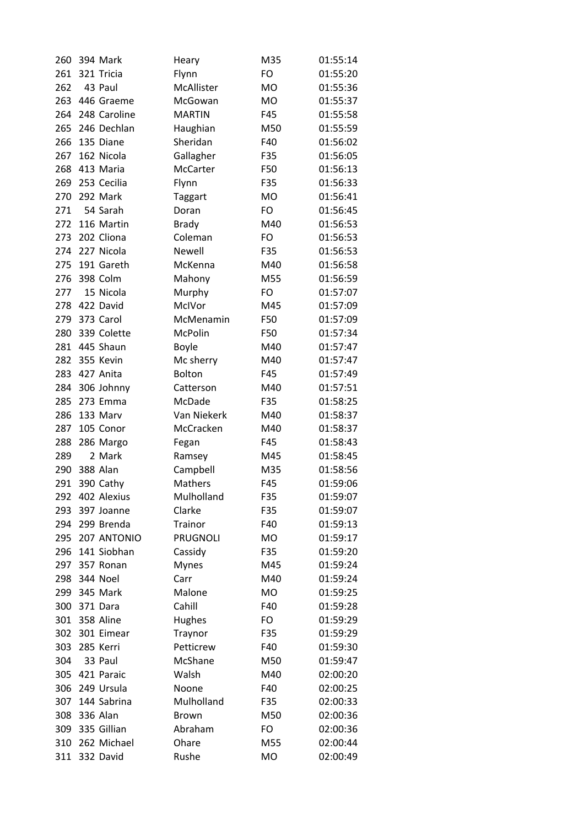| 260 | 394 Mark     | Heary           | M35       | 01:55:14 |
|-----|--------------|-----------------|-----------|----------|
| 261 | 321 Tricia   | Flynn           | FO        | 01:55:20 |
| 262 | 43 Paul      | McAllister      | <b>MO</b> | 01:55:36 |
| 263 | 446 Graeme   | McGowan         | <b>MO</b> | 01:55:37 |
| 264 | 248 Caroline | <b>MARTIN</b>   | F45       | 01:55:58 |
| 265 | 246 Dechlan  | Haughian        | M50       | 01:55:59 |
| 266 | 135 Diane    | Sheridan        | F40       | 01:56:02 |
| 267 | 162 Nicola   | Gallagher       | F35       | 01:56:05 |
| 268 | 413 Maria    | McCarter        | F50       | 01:56:13 |
| 269 | 253 Cecilia  | Flynn           | F35       | 01:56:33 |
| 270 | 292 Mark     | <b>Taggart</b>  | <b>MO</b> | 01:56:41 |
| 271 | 54 Sarah     | Doran           | FO        | 01:56:45 |
| 272 | 116 Martin   | <b>Brady</b>    | M40       | 01:56:53 |
| 273 | 202 Cliona   | Coleman         | FO        | 01:56:53 |
| 274 | 227 Nicola   | Newell          | F35       | 01:56:53 |
| 275 | 191 Gareth   | McKenna         | M40       | 01:56:58 |
| 276 | 398 Colm     | Mahony          | M55       | 01:56:59 |
| 277 | 15 Nicola    | Murphy          | FO        | 01:57:07 |
| 278 | 422 David    | McIVor          | M45       | 01:57:09 |
| 279 | 373 Carol    | McMenamin       | F50       | 01:57:09 |
| 280 | 339 Colette  | <b>McPolin</b>  | F50       | 01:57:34 |
| 281 | 445 Shaun    | <b>Boyle</b>    | M40       | 01:57:47 |
| 282 | 355 Kevin    | Mc sherry       | M40       | 01:57:47 |
| 283 | 427 Anita    | <b>Bolton</b>   | F45       | 01:57:49 |
| 284 | 306 Johnny   | Catterson       | M40       | 01:57:51 |
| 285 | 273 Emma     | McDade          | F35       | 01:58:25 |
| 286 | 133 Marv     | Van Niekerk     | M40       | 01:58:37 |
| 287 | 105 Conor    | McCracken       | M40       | 01:58:37 |
| 288 | 286 Margo    | Fegan           | F45       | 01:58:43 |
| 289 | 2 Mark       | Ramsey          | M45       | 01:58:45 |
| 290 | 388 Alan     | Campbell        | M35       | 01:58:56 |
| 291 | 390 Cathy    | <b>Mathers</b>  | F45       | 01:59:06 |
| 292 | 402 Alexius  | Mulholland      | F35       | 01:59:07 |
| 293 | 397 Joanne   | Clarke          | F35       | 01:59:07 |
| 294 | 299 Brenda   | <b>Trainor</b>  | F40       | 01:59:13 |
| 295 | 207 ANTONIO  | <b>PRUGNOLI</b> | MO        | 01:59:17 |
| 296 | 141 Siobhan  | Cassidy         | F35       | 01:59:20 |
| 297 | 357 Ronan    | <b>Mynes</b>    | M45       | 01:59:24 |
| 298 | 344 Noel     | Carr            | M40       | 01:59:24 |
| 299 | 345 Mark     | Malone          | <b>MO</b> | 01:59:25 |
| 300 | 371 Dara     | Cahill          | F40       | 01:59:28 |
| 301 | 358 Aline    | <b>Hughes</b>   | FO        | 01:59:29 |
| 302 | 301 Eimear   | Traynor         | F35       | 01:59:29 |
| 303 | 285 Kerri    | Petticrew       | F40       | 01:59:30 |
| 304 | 33 Paul      | McShane         | M50       | 01:59:47 |
| 305 | 421 Paraic   | Walsh           | M40       | 02:00:20 |
| 306 | 249 Ursula   | Noone           | F40       | 02:00:25 |
| 307 | 144 Sabrina  | Mulholland      | F35       | 02:00:33 |
| 308 | 336 Alan     | <b>Brown</b>    | M50       | 02:00:36 |
| 309 | 335 Gillian  | Abraham         | FO        | 02:00:36 |
| 310 | 262 Michael  | Ohare           | M55       | 02:00:44 |
| 311 | 332 David    | Rushe           | MO        | 02:00:49 |
|     |              |                 |           |          |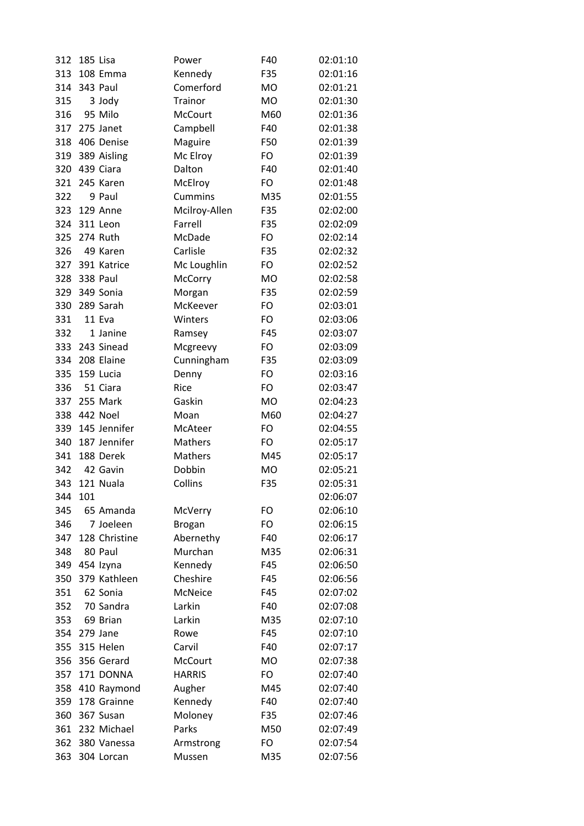| 312 | 185 Lisa |                 | Power          | F40       | 02:01:10 |
|-----|----------|-----------------|----------------|-----------|----------|
| 313 |          | 108 Emma        | Kennedy        | F35       | 02:01:16 |
| 314 |          | 343 Paul        | Comerford      | MO        | 02:01:21 |
| 315 |          | 3 Jody          | Trainor        | <b>MO</b> | 02:01:30 |
| 316 |          | 95 Milo         | <b>McCourt</b> | M60       | 02:01:36 |
| 317 |          | 275 Janet       | Campbell       | F40       | 02:01:38 |
| 318 |          | 406 Denise      | Maguire        | F50       | 02:01:39 |
| 319 |          | 389 Aisling     | Mc Elroy       | FO        | 02:01:39 |
| 320 |          | 439 Ciara       | Dalton         | F40       | 02:01:40 |
| 321 |          | 245 Karen       | McElroy        | FO        | 02:01:48 |
| 322 |          | 9 Paul          | <b>Cummins</b> | M35       | 02:01:55 |
| 323 |          | 129 Anne        | Mcilroy-Allen  | F35       | 02:02:00 |
| 324 |          | 311 Leon        | Farrell        | F35       | 02:02:09 |
| 325 |          | 274 Ruth        | McDade         | FO        | 02:02:14 |
| 326 |          | 49 Karen        | Carlisle       | F35       | 02:02:32 |
| 327 |          | 391 Katrice     | Mc Loughlin    | FO        | 02:02:52 |
| 328 |          | <b>338 Paul</b> | <b>McCorry</b> | <b>MO</b> | 02:02:58 |
| 329 |          | 349 Sonia       | Morgan         | F35       | 02:02:59 |
| 330 |          | 289 Sarah       | McKeever       | FO        | 02:03:01 |
| 331 |          | 11 Eva          | Winters        | FO        | 02:03:06 |
| 332 |          | 1 Janine        | Ramsey         | F45       | 02:03:07 |
| 333 |          | 243 Sinead      | Mcgreevy       | FO        | 02:03:09 |
| 334 |          | 208 Elaine      | Cunningham     | F35       | 02:03:09 |
| 335 |          | 159 Lucia       | Denny          | FO        | 02:03:16 |
| 336 |          | 51 Ciara        | Rice           | FO        | 02:03:47 |
| 337 |          | 255 Mark        | Gaskin         | <b>MO</b> | 02:04:23 |
| 338 |          | 442 Noel        | Moan           | M60       | 02:04:27 |
| 339 |          | 145 Jennifer    | McAteer        | FO        | 02:04:55 |
| 340 |          | 187 Jennifer    | Mathers        | FO        | 02:05:17 |
| 341 |          | 188 Derek       | Mathers        | M45       | 02:05:17 |
| 342 |          | 42 Gavin        | Dobbin         | <b>MO</b> | 02:05:21 |
| 343 |          | 121 Nuala       | Collins        | F35       | 02:05:31 |
| 344 | 101      |                 |                |           | 02:06:07 |
| 345 |          | 65 Amanda       | McVerry        | FO        | 02:06:10 |
| 346 |          | 7 Joeleen       | <b>Brogan</b>  | FO        | 02:06:15 |
| 347 |          | 128 Christine   | Abernethy      | F40       | 02:06:17 |
| 348 |          | 80 Paul         | Murchan        | M35       | 02:06:31 |
| 349 |          | 454 Izyna       | Kennedy        | F45       | 02:06:50 |
| 350 |          | 379 Kathleen    | Cheshire       | F45       | 02:06:56 |
| 351 |          | 62 Sonia        | <b>McNeice</b> | F45       | 02:07:02 |
| 352 |          | 70 Sandra       | Larkin         | F40       | 02:07:08 |
| 353 |          | 69 Brian        | Larkin         | M35       | 02:07:10 |
| 354 |          | 279 Jane        | Rowe           | F45       | 02:07:10 |
| 355 |          | 315 Helen       | Carvil         | F40       | 02:07:17 |
| 356 |          | 356 Gerard      | <b>McCourt</b> | <b>MO</b> | 02:07:38 |
| 357 |          | 171 DONNA       | <b>HARRIS</b>  | FO        | 02:07:40 |
| 358 |          | 410 Raymond     | Augher         | M45       | 02:07:40 |
| 359 |          | 178 Grainne     | Kennedy        | F40       | 02:07:40 |
| 360 |          | 367 Susan       | Moloney        | F35       | 02:07:46 |
| 361 |          | 232 Michael     | Parks          | M50       | 02:07:49 |
| 362 |          | 380 Vanessa     | Armstrong      | FO        | 02:07:54 |
| 363 |          | 304 Lorcan      | Mussen         | M35       | 02:07:56 |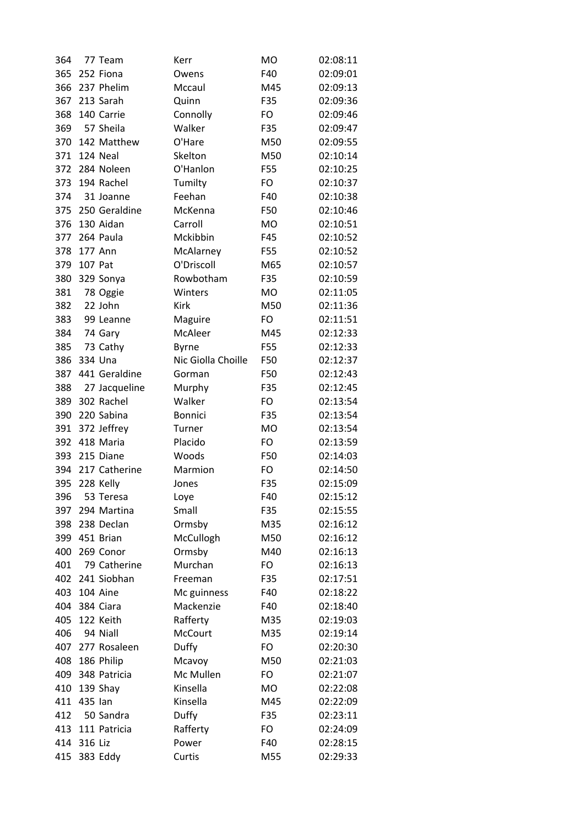| 364 |         | 77 Team                     | Kerr               | <b>MO</b> | 02:08:11 |
|-----|---------|-----------------------------|--------------------|-----------|----------|
| 365 |         | 252 Fiona                   | Owens              | F40       | 02:09:01 |
| 366 |         | 237 Phelim                  | Mccaul             | M45       | 02:09:13 |
| 367 |         | 213 Sarah                   | Quinn              | F35       | 02:09:36 |
| 368 |         | 140 Carrie                  | Connolly           | FO        | 02:09:46 |
| 369 |         | 57 Sheila                   | Walker             | F35       | 02:09:47 |
| 370 |         | 142 Matthew                 | O'Hare             | M50       | 02:09:55 |
| 371 |         | 124 Neal                    | Skelton            | M50       | 02:10:14 |
| 372 |         | 284 Noleen                  | O'Hanlon           | F55       | 02:10:25 |
| 373 |         | 194 Rachel                  | Tumilty            | FO        | 02:10:37 |
| 374 |         | 31 Joanne                   | Feehan             | F40       | 02:10:38 |
| 375 |         | 250 Geraldine               | McKenna            | F50       | 02:10:46 |
| 376 |         | 130 Aidan                   | Carroll            | <b>MO</b> | 02:10:51 |
| 377 |         | 264 Paula                   | Mckibbin           | F45       | 02:10:52 |
| 378 |         | 177 Ann                     | McAlarney          | F55       | 02:10:52 |
| 379 | 107 Pat |                             | O'Driscoll         | M65       | 02:10:57 |
| 380 |         | 329 Sonya                   | Rowbotham          | F35       | 02:10:59 |
| 381 |         | 78 Oggie                    | Winters            | <b>MO</b> | 02:11:05 |
| 382 |         | 22 John                     | <b>Kirk</b>        | M50       | 02:11:36 |
| 383 |         | 99 Leanne                   | Maguire            | FO        | 02:11:51 |
| 384 |         | 74 Gary                     | McAleer            | M45       | 02:12:33 |
| 385 |         | 73 Cathy                    | <b>Byrne</b>       | F55       | 02:12:33 |
| 386 |         | 334 Una                     | Nic Giolla Choille | F50       | 02:12:37 |
| 387 |         | 441 Geraldine               | Gorman             | F50       | 02:12:43 |
| 388 |         |                             |                    | F35       | 02:12:45 |
| 389 |         | 27 Jacqueline<br>302 Rachel | Murphy<br>Walker   | FO        | 02:13:54 |
|     |         |                             |                    |           |          |
| 390 |         | 220 Sabina                  | <b>Bonnici</b>     | F35       | 02:13:54 |
| 391 |         | 372 Jeffrey                 | Turner             | <b>MO</b> | 02:13:54 |
| 392 |         | 418 Maria                   | Placido            | FO        | 02:13:59 |
| 393 |         | 215 Diane                   | Woods              | F50       | 02:14:03 |
| 394 |         | 217 Catherine               | Marmion            | FO        | 02:14:50 |
| 395 |         | 228 Kelly                   | Jones              | F35       | 02:15:09 |
| 396 |         | 53 Teresa                   | Loye               | F40       | 02:15:12 |
| 397 |         | 294 Martina                 | Small              | F35       | 02:15:55 |
| 398 |         | 238 Declan                  | Ormsby             | M35       | 02:16:12 |
| 399 |         | 451 Brian                   | McCullogh          | M50       | 02:16:12 |
| 400 |         | 269 Conor                   | Ormsby             | M40       | 02:16:13 |
| 401 |         | 79 Catherine                | Murchan            | FO        | 02:16:13 |
| 402 |         | 241 Siobhan                 | Freeman            | F35       | 02:17:51 |
| 403 |         | 104 Aine                    | Mc guinness        | F40       | 02:18:22 |
| 404 |         | 384 Ciara                   | Mackenzie          | F40       | 02:18:40 |
| 405 |         | 122 Keith                   | Rafferty           | M35       | 02:19:03 |
| 406 |         | 94 Niall                    | <b>McCourt</b>     | M35       | 02:19:14 |
| 407 |         | 277 Rosaleen                | Duffy              | FO        | 02:20:30 |
| 408 |         | 186 Philip                  | Mcavoy             | M50       | 02:21:03 |
| 409 |         | 348 Patricia                | Mc Mullen          | FO        | 02:21:07 |
| 410 |         | 139 Shay                    | Kinsella           | MO        | 02:22:08 |
| 411 | 435 Ian |                             | Kinsella           | M45       | 02:22:09 |
| 412 |         | 50 Sandra                   | Duffy              | F35       | 02:23:11 |
| 413 |         | 111 Patricia                | Rafferty           | FO        | 02:24:09 |
| 414 | 316 Liz |                             | Power              | F40       | 02:28:15 |
| 415 |         | 383 Eddy                    | Curtis             | M55       | 02:29:33 |